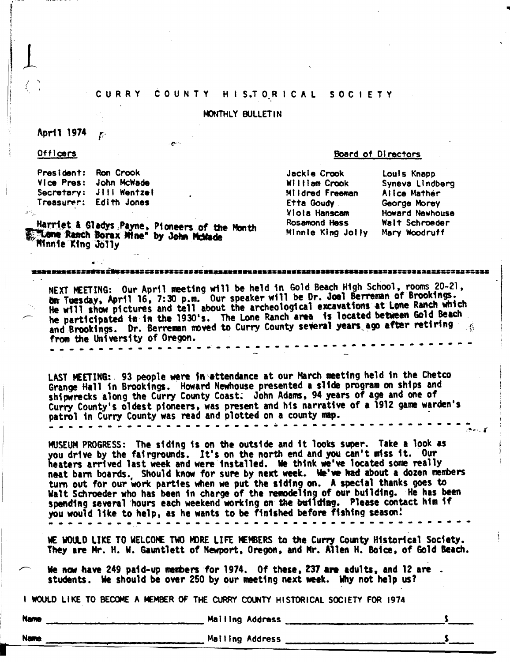# CURRY COUNTY HISTORICAL SOCIETY

# MONTHLY BULLETIN

#### April 1974 T.

Officers

President:

#### Board of Directors

Jackie Crook William Crook Mildred Freeman Etta Goudy Viola Hanscam Rosamond Hass Minnie King Jolly Mary Woodruff

Louis Knapp Syneva Lindberg Alice Mather George Morey Howard Newhouse Walt Schroeder

Secretary: JIII Wentzel Treasurer: Edith Jones

Vice Pres: John McWade

**Ron** Crook

Harriet & Gladys Payne, Pioneers of the Month "Lone Ranch Borax Mine" by John McMade Minnie King Jolly

# 

NEXT MEETING: Our April meeting will be held in Gold Beach High School, rooms 20-21, ön Tuesday, April 16, 7:30 p.m. Our speaker will be Dr. Joel Berreman of Brookings. He will show pictures and tell about the archeological excavations at Lone Ranch which he participated in in the 1930's. The Lone Ranch area is located between Gold Beach and Brookings. Dr. Berreman moved to Curry County several years ago after retiring from the University of Oregon.

LAST MEETING: 93 people were in attendance at our March meeting held in the Chetco Grange Hall in Brookings. Howard Newhouse presented a slide program on ships and shipwrecks along the Curry County Coast. John Adams, 94 years of age and one of Curry County's oldest pioneers, was present and his narrative of a 1912 game warden's patrol in Curry County was read and plotted on a county map. <u>. . . . . . . .</u>

MUSEUM PROGRESS: The siding is on the outside and it looks super. Take a look as you drive by the fairgrounds. It's on the north end and you can't miss it. Our heaters arrived last week and were installed. We think we've located some really neat barn boards. Should know for sure by next week. We've had about a dozen members turn out for our work parties when we put the siding on. A special thanks goes to Walt Schroeder who has been in charge of the remodeling of our building. He has been spending several hours each weekend working on the building. Please contact him if you would like to help, as he wants to be finished before fishing season!

WE WOULD LIKE TO WELCOME TWO MORE LIFE MEMBERS to the Curry County Historical Society. They are Mr. H. W. Gauntlett of Newport, Oregon, and Mr. Allen H. Boice, of Gold Beach.

We now have 249 paid-up members for 1974. Of these, 237 are adults, and 12 are . students. We should be over 250 by our meeting next week. Why not help us?

I WOULD LIKE TO BECOME A MEMBER OF THE CURRY COUNTY HISTORICAL SOCIETY FOR 1974

Nan

**Name** 

Mailing Address

Malling Address

 $\mathbf{s}$ 

 $\mathbf{s}$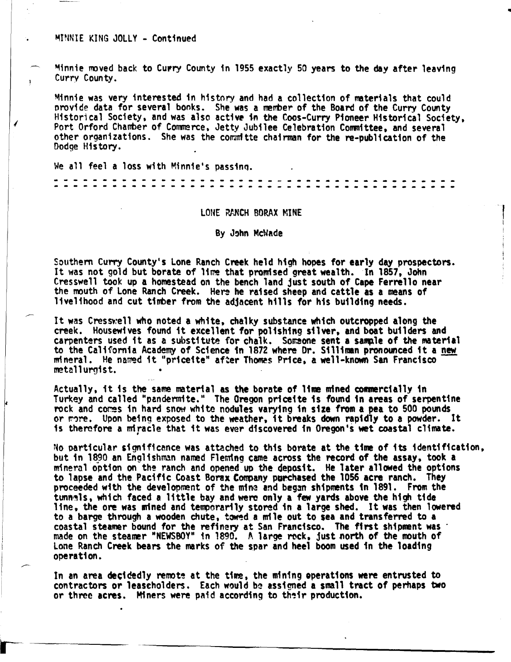#### MINNIE KING JOLLY - Continued

Minnie moved back to Curry County in 1955 exactly 50 years to the day after leaving Curry County.

Minnie was very interested in history and had a collection of materials that could provide data for several books. She was a member of the Board of the Curry County Historical Society, and was also active in the Coos-Curry Pioneer Historical Society. Port Orford Chamber of Commerce, Jetty Jubilee Celebration Committee, and several other organizations. She was the committe chairman for the re-publication of the Dodge History.

We all feel a loss with Minnie's passing.

#### LONE RANCH BORAX MINE

#### By John McNade

Southern Curry County's Lone Ranch Creek held high hopes for early day prospectors. It was not gold but borate of lime that promised great wealth. In 1857, John Cresswell took up a homestead on the bench land just south of Cape Ferrello near the mouth of Lone Ranch Creek. Here he raised sheep and cattle as a means of livelihood and cut timber from the adjacent hills for his building needs.

It was Cresswell who noted a white, chalky substance which outcropped along the creek. Housewives found it excellent for polishing silver, and boat builders and carpenters used it as a substitute for chalk. Someone sent a sample of the material to the California Academy of Science in 1872 where Dr. Silliman pronounced it a new mineral. He named it "priceite" after Thomas Price, a well-known San Francisco metallurgist.

Actually, it is the same material as the borate of lime mined commercially in Turkey and called "pandermite." The Oregon priceite is found in areas of serpentine rock and comes in hard snow white nodules varying in size from a pea to 500 pounds or more. Upon being exposed to the weather, it breaks down rapidly to a powder. It is therefore a miracle that it was ever discovered in Oregon's wet coastal climate.

No particular significance was attached to this borate at the time of its identification, but in 1890 an Englishman named Fleming came across the record of the assay, took a mineral option on the ranch and opened up the deposit. He later allowed the options to lapse and the Pacific Coast Borax Company purchased the 1056 acre ranch. They proceeded with the development of the mine and began shipments in 1891. From the tunnels, which faced a little bay and were only a few yards above the high tide line, the ore was mined and temporarily stored in a large shed. It was then lowered to a barge through a wooden chute, towed a mile out to sea and transferred to a coastal steamer bound for the refinery at San Francisco. The first shipment was made on the steamer "NEWSBOY" in 1890. A large rock, just north of the mouth of Lone Ranch Creek bears the marks of the spar and heel boom used in the loading operation.

In an area decidedly remote at the time, the mining operations were entrusted to contractors or leascholders. Each would be assigned a small tract of perhaps two or three acres. Miners were paid according to their production.